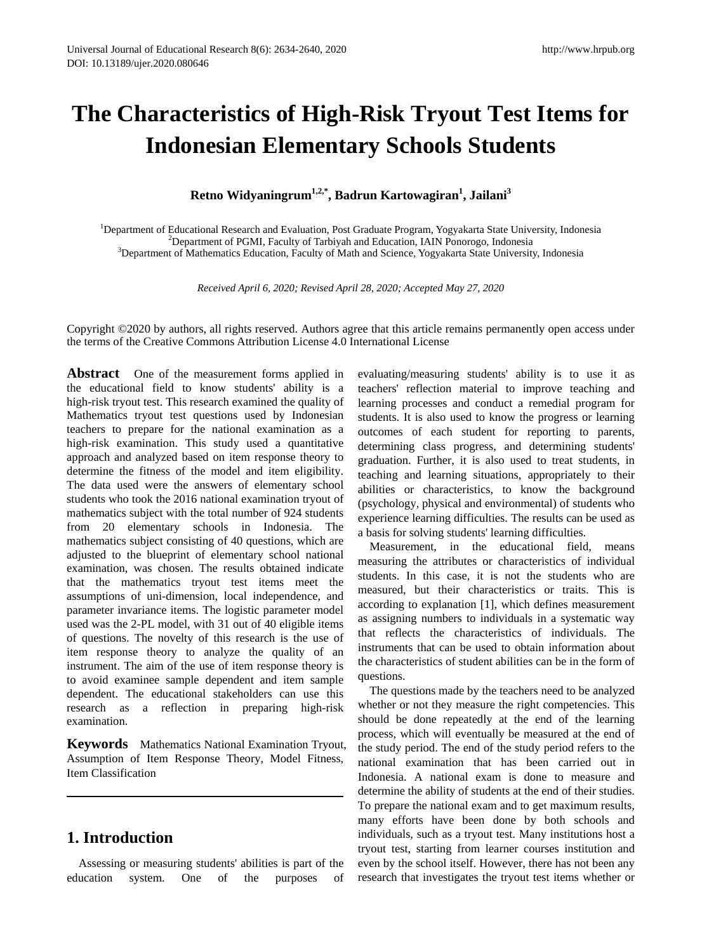# **The Characteristics of High-Risk Tryout Test Items for Indonesian Elementary Schools Students**

**Retno Widyaningrum1,2,\*, Badrun Kartowagiran1 , Jailani3** 

<sup>1</sup>Department of Educational Research and Evaluation, Post Graduate Program, Yogyakarta State University, Indonesia<br><sup>2</sup>Department of PGML Esculty of Tarbiyah and Education, JAJN Ponorogo, Indonesia <sup>2</sup>Department of PGMI, Faculty of Tarbiyah and Education, IAIN Ponorogo, Indonesia <sup>3</sup>Department of Mathematics Education, Faculty of Math and Science, Yogyakarta State University, Indonesia

*Received April 6, 2020; Revised April 28, 2020; Accepted May 27, 2020*

Copyright ©2020 by authors, all rights reserved. Authors agree that this article remains permanently open access under the terms of the Creative Commons Attribution License 4.0 International License

**Abstract** One of the measurement forms applied in the educational field to know students' ability is a high-risk tryout test. This research examined the quality of Mathematics tryout test questions used by Indonesian teachers to prepare for the national examination as a high-risk examination. This study used a quantitative approach and analyzed based on item response theory to determine the fitness of the model and item eligibility. The data used were the answers of elementary school students who took the 2016 national examination tryout of mathematics subject with the total number of 924 students from 20 elementary schools in Indonesia. The mathematics subject consisting of 40 questions, which are adjusted to the blueprint of elementary school national examination, was chosen. The results obtained indicate that the mathematics tryout test items meet the assumptions of uni-dimension, local independence, and parameter invariance items. The logistic parameter model used was the 2-PL model, with 31 out of 40 eligible items of questions. The novelty of this research is the use of item response theory to analyze the quality of an instrument. The aim of the use of item response theory is to avoid examinee sample dependent and item sample dependent. The educational stakeholders can use this research as a reflection in preparing high-risk examination.

**Keywords** Mathematics National Examination Tryout, Assumption of Item Response Theory, Model Fitness, Item Classification

# **1. Introduction**

Assessing or measuring students' abilities is part of the education system. One of the purposes of evaluating/measuring students' ability is to use it as teachers' reflection material to improve teaching and learning processes and conduct a remedial program for students. It is also used to know the progress or learning outcomes of each student for reporting to parents, determining class progress, and determining students' graduation. Further, it is also used to treat students, in teaching and learning situations, appropriately to their abilities or characteristics, to know the background (psychology, physical and environmental) of students who experience learning difficulties. The results can be used as a basis for solving students' learning difficulties.

Measurement, in the educational field, means measuring the attributes or characteristics of individual students. In this case, it is not the students who are measured, but their characteristics or traits. This is according to explanation [1], which defines measurement as assigning numbers to individuals in a systematic way that reflects the characteristics of individuals. The instruments that can be used to obtain information about the characteristics of student abilities can be in the form of questions.

The questions made by the teachers need to be analyzed whether or not they measure the right competencies. This should be done repeatedly at the end of the learning process, which will eventually be measured at the end of the study period. The end of the study period refers to the national examination that has been carried out in Indonesia. A national exam is done to measure and determine the ability of students at the end of their studies. To prepare the national exam and to get maximum results, many efforts have been done by both schools and individuals, such as a tryout test. Many institutions host a tryout test, starting from learner courses institution and even by the school itself. However, there has not been any research that investigates the tryout test items whether or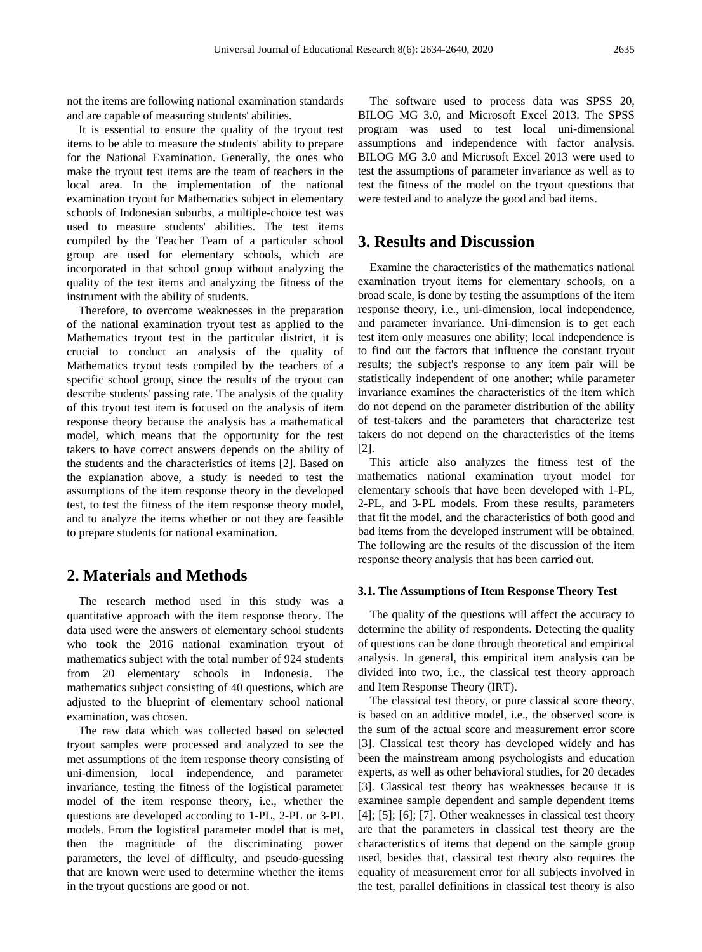not the items are following national examination standards and are capable of measuring students' abilities.

It is essential to ensure the quality of the tryout test items to be able to measure the students' ability to prepare for the National Examination. Generally, the ones who make the tryout test items are the team of teachers in the local area. In the implementation of the national examination tryout for Mathematics subject in elementary schools of Indonesian suburbs, a multiple-choice test was used to measure students' abilities. The test items compiled by the Teacher Team of a particular school group are used for elementary schools, which are incorporated in that school group without analyzing the quality of the test items and analyzing the fitness of the instrument with the ability of students.

Therefore, to overcome weaknesses in the preparation of the national examination tryout test as applied to the Mathematics tryout test in the particular district, it is crucial to conduct an analysis of the quality of Mathematics tryout tests compiled by the teachers of a specific school group, since the results of the tryout can describe students' passing rate. The analysis of the quality of this tryout test item is focused on the analysis of item response theory because the analysis has a mathematical model, which means that the opportunity for the test takers to have correct answers depends on the ability of the students and the characteristics of items [2]. Based on the explanation above, a study is needed to test the assumptions of the item response theory in the developed test, to test the fitness of the item response theory model, and to analyze the items whether or not they are feasible to prepare students for national examination.

## **2. Materials and Methods**

The research method used in this study was a quantitative approach with the item response theory. The data used were the answers of elementary school students who took the 2016 national examination tryout of mathematics subject with the total number of 924 students from 20 elementary schools in Indonesia. The mathematics subject consisting of 40 questions, which are adjusted to the blueprint of elementary school national examination, was chosen.

The raw data which was collected based on selected tryout samples were processed and analyzed to see the met assumptions of the item response theory consisting of uni-dimension, local independence, and parameter invariance, testing the fitness of the logistical parameter model of the item response theory, i.e., whether the questions are developed according to 1-PL, 2-PL or 3-PL models. From the logistical parameter model that is met, then the magnitude of the discriminating power parameters, the level of difficulty, and pseudo-guessing that are known were used to determine whether the items in the tryout questions are good or not.

The software used to process data was SPSS 20, BILOG MG 3.0, and Microsoft Excel 2013. The SPSS program was used to test local uni-dimensional assumptions and independence with factor analysis. BILOG MG 3.0 and Microsoft Excel 2013 were used to test the assumptions of parameter invariance as well as to test the fitness of the model on the tryout questions that were tested and to analyze the good and bad items.

## **3. Results and Discussion**

Examine the characteristics of the mathematics national examination tryout items for elementary schools, on a broad scale, is done by testing the assumptions of the item response theory, i.e., uni-dimension, local independence, and parameter invariance. Uni-dimension is to get each test item only measures one ability; local independence is to find out the factors that influence the constant tryout results; the subject's response to any item pair will be statistically independent of one another; while parameter invariance examines the characteristics of the item which do not depend on the parameter distribution of the ability of test-takers and the parameters that characterize test takers do not depend on the characteristics of the items [2].

This article also analyzes the fitness test of the mathematics national examination tryout model for elementary schools that have been developed with 1-PL, 2-PL, and 3-PL models. From these results, parameters that fit the model, and the characteristics of both good and bad items from the developed instrument will be obtained. The following are the results of the discussion of the item response theory analysis that has been carried out.

#### **3.1. The Assumptions of Item Response Theory Test**

The quality of the questions will affect the accuracy to determine the ability of respondents. Detecting the quality of questions can be done through theoretical and empirical analysis. In general, this empirical item analysis can be divided into two, i.e., the classical test theory approach and Item Response Theory (IRT).

The classical test theory, or pure classical score theory, is based on an additive model, i.e., the observed score is the sum of the actual score and measurement error score [3]. Classical test theory has developed widely and has been the mainstream among psychologists and education experts, as well as other behavioral studies, for 20 decades [3]. Classical test theory has weaknesses because it is examinee sample dependent and sample dependent items [4]; [5]; [6]; [7]. Other weaknesses in classical test theory are that the parameters in classical test theory are the characteristics of items that depend on the sample group used, besides that, classical test theory also requires the equality of measurement error for all subjects involved in the test, parallel definitions in classical test theory is also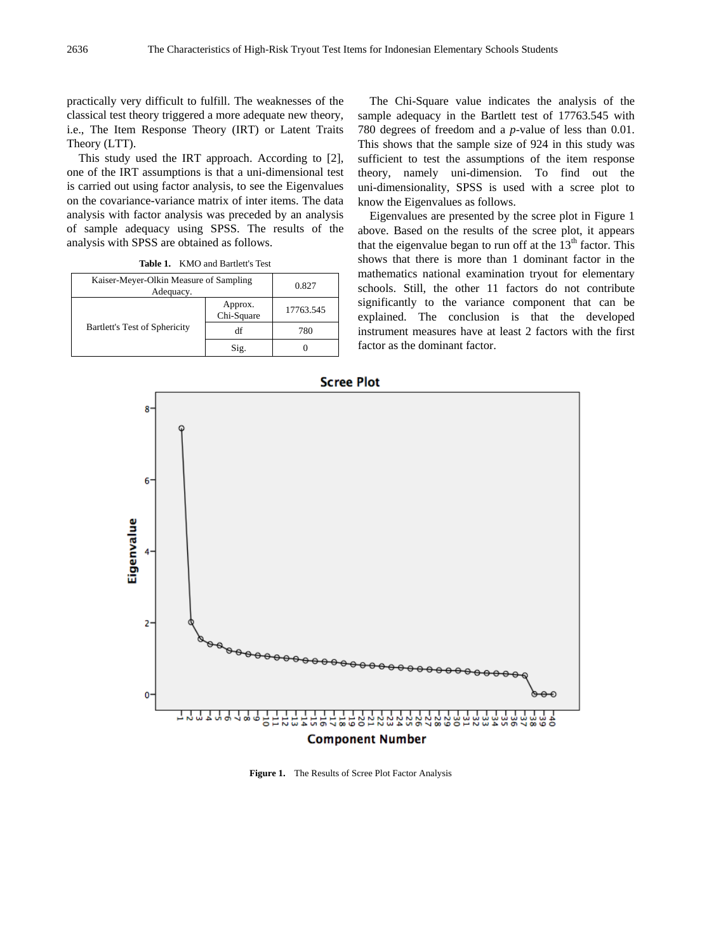practically very difficult to fulfill. The weaknesses of the classical test theory triggered a more adequate new theory, i.e., The Item Response Theory (IRT) or Latent Traits Theory (LTT).

This study used the IRT approach. According to [2], one of the IRT assumptions is that a uni-dimensional test is carried out using factor analysis, to see the Eigenvalues on the covariance-variance matrix of inter items. The data analysis with factor analysis was preceded by an analysis of sample adequacy using SPSS. The results of the analysis with SPSS are obtained as follows.

| Table 1. | KMO and Bartlett's Test |
|----------|-------------------------|
|----------|-------------------------|

| Kaiser-Meyer-Olkin Measure of Sampling<br>Adequacy. |                       | 0.827     |
|-----------------------------------------------------|-----------------------|-----------|
| Bartlett's Test of Sphericity                       | Approx.<br>Chi-Square | 17763.545 |
|                                                     | df                    | 780       |
|                                                     | Sig.                  |           |

The Chi-Square value indicates the analysis of the sample adequacy in the Bartlett test of 17763.545 with 780 degrees of freedom and a *p*-value of less than 0.01. This shows that the sample size of 924 in this study was sufficient to test the assumptions of the item response theory, namely uni-dimension. To find out the uni-dimensionality, SPSS is used with a scree plot to know the Eigenvalues as follows.

Eigenvalues are presented by the scree plot in Figure 1 above. Based on the results of the scree plot, it appears that the eigenvalue began to run off at the  $13<sup>th</sup>$  factor. This shows that there is more than 1 dominant factor in the mathematics national examination tryout for elementary schools. Still, the other 11 factors do not contribute significantly to the variance component that can be explained. The conclusion is that the developed instrument measures have at least 2 factors with the first factor as the dominant factor.



**Figure 1.** The Results of Scree Plot Factor Analysis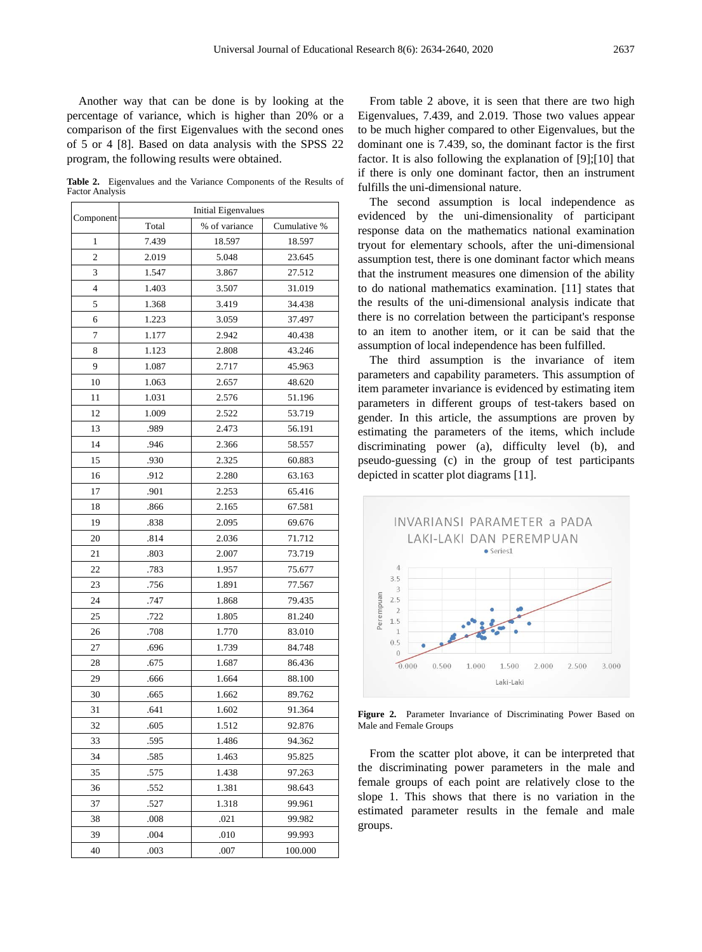Another way that can be done is by looking at the percentage of variance, which is higher than 20% or a comparison of the first Eigenvalues with the second ones of 5 or 4 [8]. Based on data analysis with the SPSS 22 program, the following results were obtained.

**Table 2.** Eigenvalues and the Variance Components of the Results of Factor Analysis

| Component      | <b>Initial Eigenvalues</b> |               |              |  |
|----------------|----------------------------|---------------|--------------|--|
|                | Total                      | % of variance | Cumulative % |  |
| 1              | 7.439                      | 18.597        | 18.597       |  |
| $\overline{c}$ | 2.019                      | 5.048         | 23.645       |  |
| 3              | 1.547                      | 3.867         | 27.512       |  |
| 4              | 1.403                      | 3.507         | 31.019       |  |
| 5              | 1.368                      | 3.419         | 34.438       |  |
| 6              | 1.223                      | 3.059         | 37.497       |  |
| 7              | 1.177                      | 2.942         | 40.438       |  |
| 8              | 1.123                      | 2.808         | 43.246       |  |
| 9              | 1.087                      | 2.717         | 45.963       |  |
| 10             | 1.063                      | 2.657         | 48.620       |  |
| 11             | 1.031                      | 2.576         | 51.196       |  |
| 12             | 1.009                      | 2.522         | 53.719       |  |
| 13             | .989                       | 2.473         | 56.191       |  |
| 14             | .946                       | 2.366         | 58.557       |  |
| 15             | .930                       | 2.325         | 60.883       |  |
| 16             | .912                       | 2.280         | 63.163       |  |
| 17             | .901                       | 2.253         | 65.416       |  |
| 18             | .866                       | 2.165         | 67.581       |  |
| 19             | .838                       | 2.095         | 69.676       |  |
| 20             | .814                       | 2.036         | 71.712       |  |
| 21             | .803                       | 2.007         | 73.719       |  |
| 22             | .783                       | 1.957         | 75.677       |  |
| 23             | .756                       | 1.891         | 77.567       |  |
| 24             | .747                       | 1.868         | 79.435       |  |
| 25             | .722                       | 1.805         | 81.240       |  |
| 26             | .708                       | 1.770         | 83.010       |  |
| 27             | .696                       | 1.739         | 84.748       |  |
| 28             | .675                       | 1.687         | 86.436       |  |
| 29             | .666                       | 1.664         | 88.100       |  |
| 30             | .665                       | 1.662         | 89.762       |  |
| 31             | .641                       | 1.602         | 91.364       |  |
| 32             | .605                       | 1.512         | 92.876       |  |
| 33             | .595                       | 1.486         | 94.362       |  |
| 34             | .585                       | 1.463         | 95.825       |  |
| 35             | .575                       | 1.438         | 97.263       |  |
| 36             | .552                       | 1.381         | 98.643       |  |
| 37             | .527                       | 1.318         | 99.961       |  |
| 38             | .008                       | .021          | 99.982       |  |
| 39             | .004                       | .010          | 99.993       |  |
| 40             | .003                       | .007          | 100.000      |  |

From table 2 above, it is seen that there are two high Eigenvalues, 7.439, and 2.019. Those two values appear to be much higher compared to other Eigenvalues, but the dominant one is 7.439, so, the dominant factor is the first factor. It is also following the explanation of [9];[10] that if there is only one dominant factor, then an instrument fulfills the uni-dimensional nature.

The second assumption is local independence as evidenced by the uni-dimensionality of participant response data on the mathematics national examination tryout for elementary schools, after the uni-dimensional assumption test, there is one dominant factor which means that the instrument measures one dimension of the ability to do national mathematics examination. [11] states that the results of the uni-dimensional analysis indicate that there is no correlation between the participant's response to an item to another item, or it can be said that the assumption of local independence has been fulfilled.

The third assumption is the invariance of item parameters and capability parameters. This assumption of item parameter invariance is evidenced by estimating item parameters in different groups of test-takers based on gender. In this article, the assumptions are proven by estimating the parameters of the items, which include discriminating power (a), difficulty level (b), and pseudo-guessing (c) in the group of test participants depicted in scatter plot diagrams [11].



**Figure 2.** Parameter Invariance of Discriminating Power Based on Male and Female Groups

From the scatter plot above, it can be interpreted that the discriminating power parameters in the male and female groups of each point are relatively close to the slope 1. This shows that there is no variation in the estimated parameter results in the female and male groups.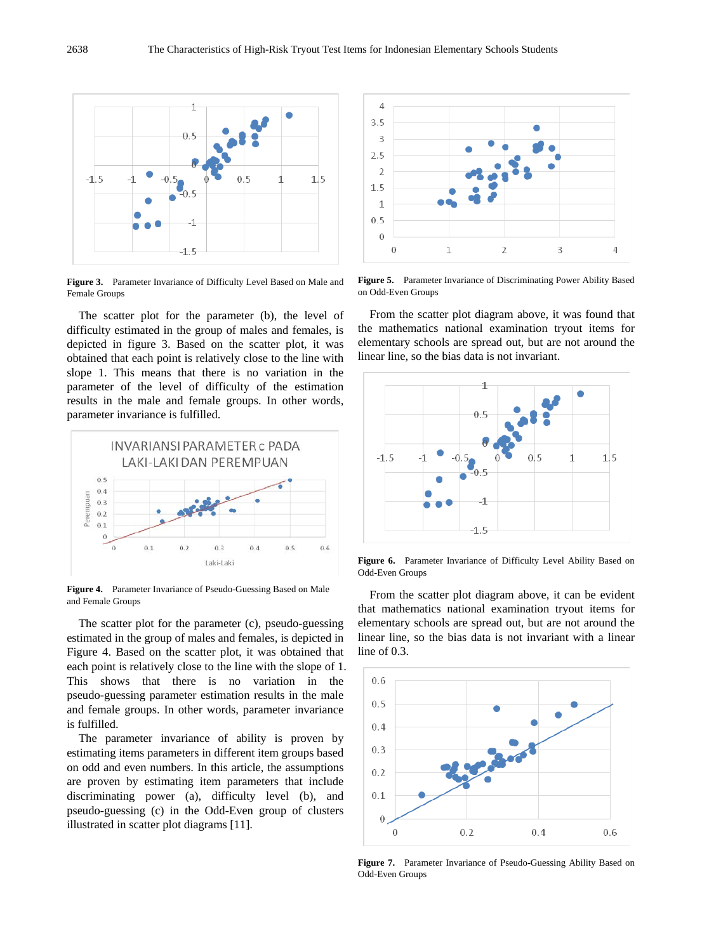

**Figure 3.** Parameter Invariance of Difficulty Level Based on Male and Female Groups

The scatter plot for the parameter (b), the level of difficulty estimated in the group of males and females, is depicted in figure 3. Based on the scatter plot, it was obtained that each point is relatively close to the line with slope 1. This means that there is no variation in the parameter of the level of difficulty of the estimation results in the male and female groups. In other words, parameter invariance is fulfilled.



**Figure 4.** Parameter Invariance of Pseudo-Guessing Based on Male and Female Groups

The scatter plot for the parameter (c), pseudo-guessing estimated in the group of males and females, is depicted in Figure 4. Based on the scatter plot, it was obtained that each point is relatively close to the line with the slope of 1. This shows that there is no variation in the pseudo-guessing parameter estimation results in the male and female groups. In other words, parameter invariance is fulfilled.

The parameter invariance of ability is proven by estimating items parameters in different item groups based on odd and even numbers. In this article, the assumptions are proven by estimating item parameters that include discriminating power (a), difficulty level (b), and pseudo-guessing (c) in the Odd-Even group of clusters illustrated in scatter plot diagrams [11].



**Figure 5.** Parameter Invariance of Discriminating Power Ability Based on Odd-Even Groups

From the scatter plot diagram above, it was found that the mathematics national examination tryout items for elementary schools are spread out, but are not around the linear line, so the bias data is not invariant.



**Figure 6.** Parameter Invariance of Difficulty Level Ability Based on Odd-Even Groups

From the scatter plot diagram above, it can be evident that mathematics national examination tryout items for elementary schools are spread out, but are not around the linear line, so the bias data is not invariant with a linear line of 0.3.



**Figure 7.** Parameter Invariance of Pseudo-Guessing Ability Based on Odd-Even Groups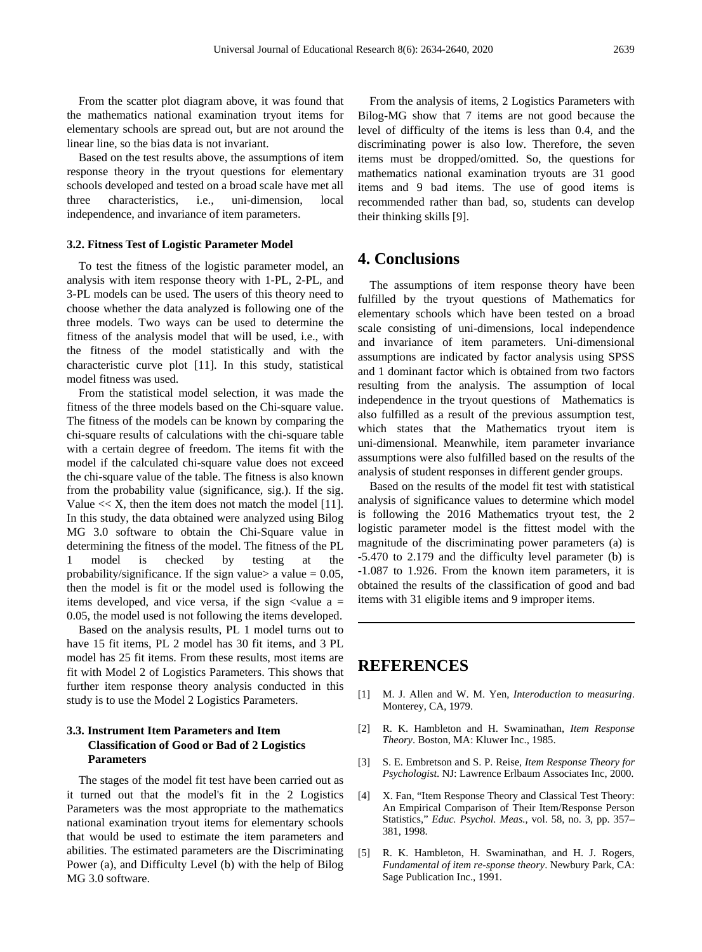From the scatter plot diagram above, it was found that the mathematics national examination tryout items for elementary schools are spread out, but are not around the linear line, so the bias data is not invariant.

Based on the test results above, the assumptions of item response theory in the tryout questions for elementary schools developed and tested on a broad scale have met all three characteristics, i.e., uni-dimension, local independence, and invariance of item parameters.

#### **3.2. Fitness Test of Logistic Parameter Model**

To test the fitness of the logistic parameter model, an analysis with item response theory with 1-PL, 2-PL, and 3-PL models can be used. The users of this theory need to choose whether the data analyzed is following one of the three models. Two ways can be used to determine the fitness of the analysis model that will be used, i.e., with the fitness of the model statistically and with the characteristic curve plot [11]. In this study, statistical model fitness was used.

From the statistical model selection, it was made the fitness of the three models based on the Chi-square value. The fitness of the models can be known by comparing the chi-square results of calculations with the chi-square table with a certain degree of freedom. The items fit with the model if the calculated chi-square value does not exceed the chi-square value of the table. The fitness is also known from the probability value (significance, sig.). If the sig. Value  $<< X$ , then the item does not match the model [11]. In this study, the data obtained were analyzed using Bilog MG 3.0 software to obtain the Chi-Square value in determining the fitness of the model. The fitness of the PL 1 model is checked by testing at the probability/significance. If the sign value  $> a$  value  $= 0.05$ , then the model is fit or the model used is following the items developed, and vice versa, if the sign  $\langle$ value a = 0.05, the model used is not following the items developed.

Based on the analysis results, PL 1 model turns out to have 15 fit items, PL 2 model has 30 fit items, and 3 PL model has 25 fit items. From these results, most items are fit with Model 2 of Logistics Parameters. This shows that further item response theory analysis conducted in this study is to use the Model 2 Logistics Parameters.

#### **3.3. Instrument Item Parameters and Item Classification of Good or Bad of 2 Logistics Parameters**

The stages of the model fit test have been carried out as it turned out that the model's fit in the 2 Logistics Parameters was the most appropriate to the mathematics national examination tryout items for elementary schools that would be used to estimate the item parameters and abilities. The estimated parameters are the Discriminating Power (a), and Difficulty Level (b) with the help of Bilog MG 3.0 software.

From the analysis of items, 2 Logistics Parameters with Bilog-MG show that 7 items are not good because the level of difficulty of the items is less than 0.4, and the discriminating power is also low. Therefore, the seven items must be dropped/omitted. So, the questions for mathematics national examination tryouts are 31 good items and 9 bad items. The use of good items is recommended rather than bad, so, students can develop their thinking skills [9].

### **4. Conclusions**

The assumptions of item response theory have been fulfilled by the tryout questions of Mathematics for elementary schools which have been tested on a broad scale consisting of uni-dimensions, local independence and invariance of item parameters. Uni-dimensional assumptions are indicated by factor analysis using SPSS and 1 dominant factor which is obtained from two factors resulting from the analysis. The assumption of local independence in the tryout questions of Mathematics is also fulfilled as a result of the previous assumption test, which states that the Mathematics tryout item is uni-dimensional. Meanwhile, item parameter invariance assumptions were also fulfilled based on the results of the analysis of student responses in different gender groups.

Based on the results of the model fit test with statistical analysis of significance values to determine which model is following the 2016 Mathematics tryout test, the 2 logistic parameter model is the fittest model with the magnitude of the discriminating power parameters (a) is -5.470 to 2.179 and the difficulty level parameter (b) is -1.087 to 1.926. From the known item parameters, it is obtained the results of the classification of good and bad items with 31 eligible items and 9 improper items.

## **REFERENCES**

- [1] M. J. Allen and W. M. Yen, *Interoduction to measuring*. Monterey, CA, 1979.
- [2] R. K. Hambleton and H. Swaminathan, *Item Response Theory*. Boston, MA: Kluwer Inc., 1985.
- [3] S. E. Embretson and S. P. Reise, *Item Response Theory for Psychologist*. NJ: Lawrence Erlbaum Associates Inc, 2000.
- [4] X. Fan, "Item Response Theory and Classical Test Theory: An Empirical Comparison of Their Item/Response Person Statistics," *Educ. Psychol. Meas.*, vol. 58, no. 3, pp. 357– 381, 1998.
- [5] R. K. Hambleton, H. Swaminathan, and H. J. Rogers, *Fundamental of item re-sponse theory*. Newbury Park, CA: Sage Publication Inc., 1991.